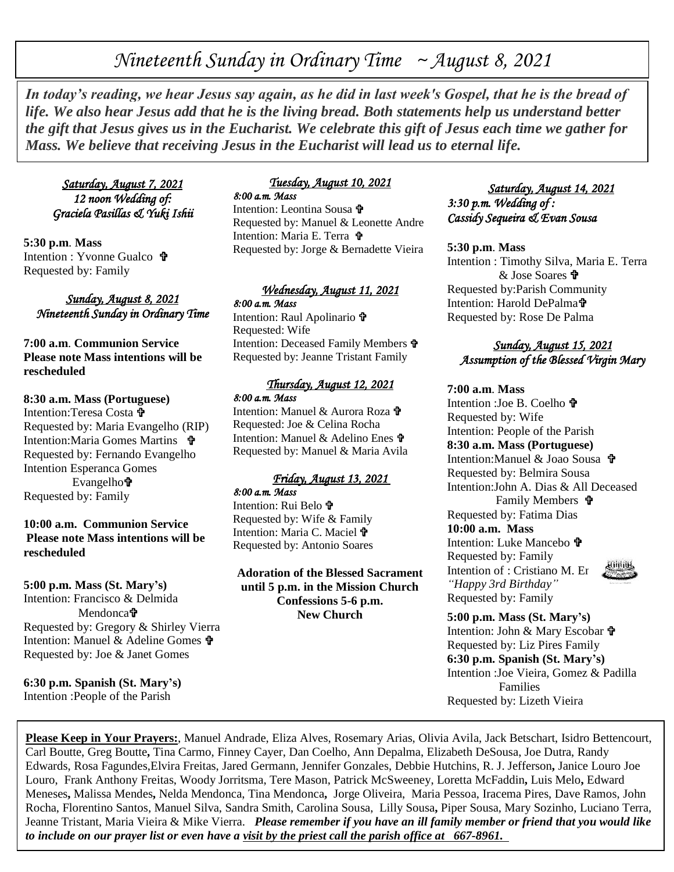# *Nineteenth Sunday in Ordinary Time ~ August 8, 2021*

*In today's reading, we hear Jesus say again, as he did in last week's Gospel, that he is the bread of life. We also hear Jesus add that he is the living bread. Both statements help us understand better the gift that Jesus gives us in the Eucharist. We celebrate this gift of Jesus each time we gather for Mass. We believe that receiving Jesus in the Eucharist will lead us to eternal life.*

*Saturday, August 7, 2021 12 noon Wedding of: Graciela Pasillas & Yuki Ishii* 

**5:30 p.m**. **Mass** Intention : Yvonne Gualco Requested by: Family

## *Sunday, August 8, 2021 Nineteenth Sunday in Ordinary Time*

**7:00 a.m**. **Communion Service Please note Mass intentions will be rescheduled** 

**8:30 a.m. Mass (Portuguese)** Intention:Teresa Costa Requested by: Maria Evangelho (RIP) Intention:Maria Gomes Martins Requested by: Fernando Evangelho Intention Esperanca Gomes Evangelho Requested by: Family

## **10:00 a.m. Communion Service Please note Mass intentions will be rescheduled**

**5:00 p.m. Mass (St. Mary's)** Intention: Francisco & Delmida Mendonca<sup>t</sup> Requested by: Gregory & Shirley Vierra Intention: Manuel & Adeline Gomes Requested by: Joe & Janet Gomes

**6:30 p.m. Spanish (St. Mary's)** Intention :People of the Parish

#### *Tuesday, August 10, 2021 8:00 a.m. Mass*

Intention: Leontina Sousa Requested by: Manuel & Leonette Andre Intention: Maria E. Terra Requested by: Jorge & Bernadette Vieira

#### *Wednesday, August 11, 2021 8:00 a.m. Mass*

Intention: Raul Apolinario  $\mathbf{\hat{\mathbf{v}}}$ Requested: Wife Intention: Deceased Family Members Requested by: Jeanne Tristant Family

#### *Thursday, August 12, 2021 8:00 a.m. Mass*

Intention: Manuel & Aurora Roza Requested: Joe & Celina Rocha Intention: Manuel & Adelino Enes Requested by: Manuel & Maria Avila

# *Friday, August 13, 2021*

*8:00 a.m. Mass* 

Intention: Rui Belo  $\mathbf{\hat{r}}$ Requested by: Wife & Family Intention: Maria C. Maciel Requested by: Antonio Soares

**Adoration of the Blessed Sacrament until 5 p.m. in the Mission Church Confessions 5-6 p.m. New Church**

## *Saturday, August 14, 2021 3:30 p.m. Wedding of : Cassidy Sequeira & Evan Sousa*

### **5:30 p.m**. **Mass**

Intention : Timothy Silva, Maria E. Terra & Jose Soares Requested by:Parish Community Intention: Harold DePalma Requested by: Rose De Palma

## *Sunday, August 15, 2021 Assumption of the Blessed Virgin Mary*

### **7:00 a.m**. **Mass**

Intention : Joe B. Coelho 宁 Requested by: Wife Intention: People of the Parish **8:30 a.m. Mass (Portuguese)** Intention:Manuel & Joao Sousa Requested by: Belmira Sousa Intention:John A. Dias & All Deceased Family Members Requested by: Fatima Dias **10:00 a.m. Mass** Intention: Luke Mancebo **t** Requested by: Family Intention of : Cristiano M. En *"Happy 3rd Birthday"* Requested by: Family

**5:00 p.m. Mass (St. Mary's)** Intention: John & Mary Escobar Requested by: Liz Pires Family **6:30 p.m. Spanish (St. Mary's)** Intention :Joe Vieira, Gomez & Padilla Families Requested by: Lizeth Vieira

**Please Keep in Your Prayers:**, Manuel Andrade, Eliza Alves, Rosemary Arias, Olivia Avila, Jack Betschart, Isidro Bettencourt, Carl Boutte, Greg Boutte**,** Tina Carmo, Finney Cayer, Dan Coelho, Ann Depalma, Elizabeth DeSousa, Joe Dutra, Randy Edwards, Rosa Fagundes,Elvira Freitas, Jared Germann, Jennifer Gonzales, Debbie Hutchins, R. J. Jefferson**,** Janice Louro Joe Louro, Frank Anthony Freitas, Woody Jorritsma, Tere Mason, Patrick McSweeney, Loretta McFaddin**,** Luis Melo**,** Edward Meneses**,** Malissa Mendes**,** Nelda Mendonca, Tina Mendonca**,** Jorge Oliveira, Maria Pessoa, Iracema Pires, Dave Ramos, John Rocha, Florentino Santos, Manuel Silva, Sandra Smith, Carolina Sousa, Lilly Sousa**,** Piper Sousa, Mary Sozinho, Luciano Terra, Jeanne Tristant, Maria Vieira & Mike Vierra. *Please remember if you have an ill family member or friend that you would like to include on our prayer list or even have a visit by the priest call the parish office at 667-8961.*